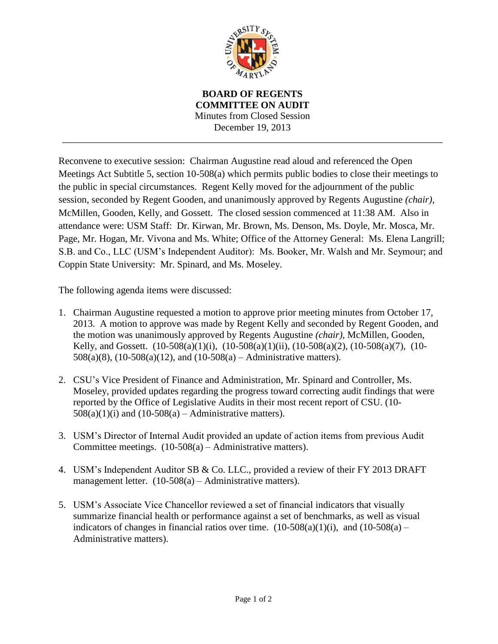

**BOARD OF REGENTS COMMITTEE ON AUDIT** Minutes from Closed Session December 19, 2013 \_\_\_\_\_\_\_\_\_\_\_\_\_\_\_\_\_\_\_\_\_\_\_\_\_\_\_\_\_\_\_\_\_\_\_\_\_\_\_\_\_\_\_\_\_\_\_\_\_\_\_\_\_\_\_\_\_\_\_\_\_\_\_\_\_\_\_\_\_\_\_\_\_\_\_\_\_\_

Reconvene to executive session: Chairman Augustine read aloud and referenced the Open Meetings Act Subtitle 5, section 10-508(a) which permits public bodies to close their meetings to the public in special circumstances. Regent Kelly moved for the adjournment of the public session, seconded by Regent Gooden, and unanimously approved by Regents Augustine *(chair),*  McMillen, Gooden, Kelly, and Gossett. The closed session commenced at 11:38 AM. Also in attendance were: USM Staff: Dr. Kirwan, Mr. Brown, Ms. Denson, Ms. Doyle, Mr. Mosca, Mr. Page, Mr. Hogan, Mr. Vivona and Ms. White; Office of the Attorney General: Ms. Elena Langrill; S.B. and Co., LLC (USM's Independent Auditor): Ms. Booker, Mr. Walsh and Mr. Seymour; and Coppin State University: Mr. Spinard, and Ms. Moseley.

The following agenda items were discussed:

- 1. Chairman Augustine requested a motion to approve prior meeting minutes from October 17, 2013. A motion to approve was made by Regent Kelly and seconded by Regent Gooden, and the motion was unanimously approved by Regents Augustine *(chair),* McMillen, Gooden, Kelly, and Gossett.  $(10-508(a)(1)(i)$ ,  $(10-508(a)(1)(ii)$ ,  $(10-508(a)(2)$ ,  $(10-508(a)(7))$ ,  $(10-508(a)(7))$ 508(a)(8), (10-508(a)(12), and (10-508(a) – Administrative matters).
- 2. CSU's Vice President of Finance and Administration, Mr. Spinard and Controller, Ms. Moseley, provided updates regarding the progress toward correcting audit findings that were reported by the Office of Legislative Audits in their most recent report of CSU. (10-  $508(a)(1)(i)$  and  $(10-508(a) -$ Administrative matters).
- 3. USM's Director of Internal Audit provided an update of action items from previous Audit Committee meetings.  $(10-508(a) -$ Administrative matters).
- 4. USM's Independent Auditor SB & Co. LLC., provided a review of their FY 2013 DRAFT management letter. (10-508(a) – Administrative matters).
- 5. USM's Associate Vice Chancellor reviewed a set of financial indicators that visually summarize financial health or performance against a set of benchmarks, as well as visual indicators of changes in financial ratios over time.  $(10-508(a)(1)(i)$ , and  $(10-508(a) -$ Administrative matters).